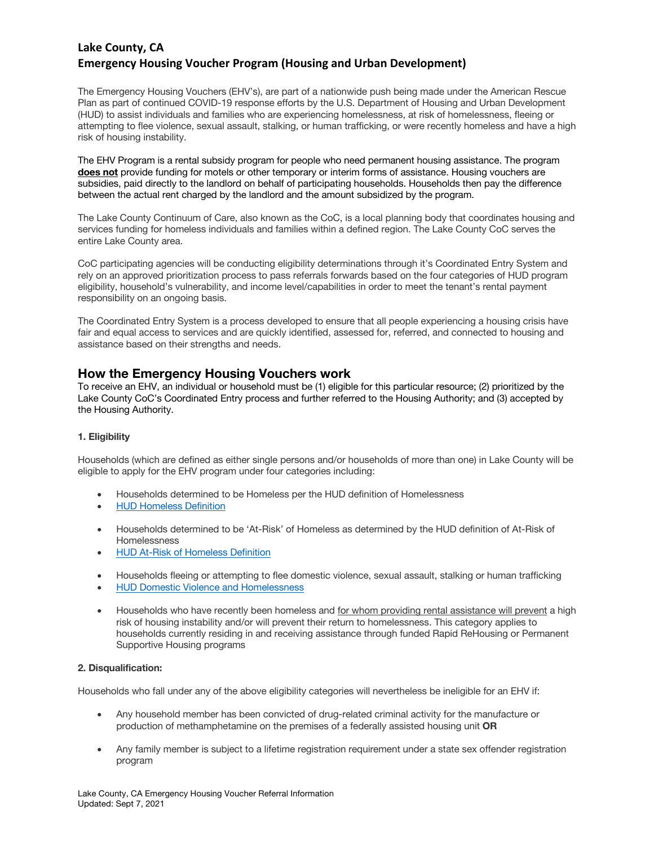# **Lake County, CA Emergency Housing Voucher Program (Housing and Urban Development)**

The Emergency Housing Vouchers (EHV's), are part of a nationwide push being made under the American Rescue Plan as part of continued COVID-19 response efforts by the U.S. Department of Housing and Urban Development (HUD) to assist individuals and families who are experiencing homelessness, at risk of homelessness, fleeing or attempting to flee violence, sexual assault, stalking, or human trafficking, or were recently homeless and have a high risk of housing instability.

The EHV Program is a rental subsidy program for people who need permanent housing assistance. The program **does not** provide funding for motels or other temporary or interim forms of assistance. Housing vouchers are subsidies, paid directly to the landlord on behalf of participating households. Households then pay the difference between the actual rent charged by the landlord and the amount subsidized by the program.

The Lake County Continuum of Care, also known as the CoC, is a local planning body that coordinates housing and services funding for homeless individuals and families within a defined region. The Lake County CoC serves the entire Lake County area.

CoC participating agencies will be conducting eligibility determinations through it's Coordinated Entry System and rely on an approved prioritization process to pass referrals forwards based on the four categories of HUD program eligibility, household's vulnerability, and income level/capabilities in order to meet the tenant's rental payment responsibility on an ongoing basis.

The Coordinated Entry System is a process developed to ensure that all people experiencing a housing crisis have fair and equal access to services and are quickly identified, assessed for, referred, and connected to housing and assistance based on their strengths and needs.

## **How the Emergency Housing Vouchers work**

To receive an EHV, an individual or household must be (1) eligible for this particular resource; (2) prioritized by the Lake County CoC's Coordinated Entry process and further referred to the Housing Authority; and (3) accepted by the Housing Authority.

## **1. Eligibility**

Households (which are defined as either single persons and/or households of more than one) in Lake County will be eligible to apply for the EHV program under four categories including:

- Households determined to be Homeless per the HUD definition of Homelessness
- HUD Homeless Definition
- Households determined to be 'At-Risk' of Homeless as determined by the HUD definition of At-Risk of **Homelessness**
- HUD At-Risk of Homeless Definition
- Households fleeing or attempting to flee domestic violence, sexual assault, stalking or human trafficking
- HUD Domestic Violence and Homelessness
- Households who have recently been homeless and for whom providing rental assistance will prevent a high risk of housing instability and/or will prevent their return to homelessness. This category applies to households currently residing in and receiving assistance through funded Rapid ReHousing or Permanent Supportive Housing programs

## **2. Disqualification:**

Households who fall under any of the above eligibility categories will nevertheless be ineligible for an EHV if:

- Any household member has been convicted of drug-related criminal activity for the manufacture or production of methamphetamine on the premises of a federally assisted housing unit **OR**
- Any family member is subject to a lifetime registration requirement under a state sex offender registration program